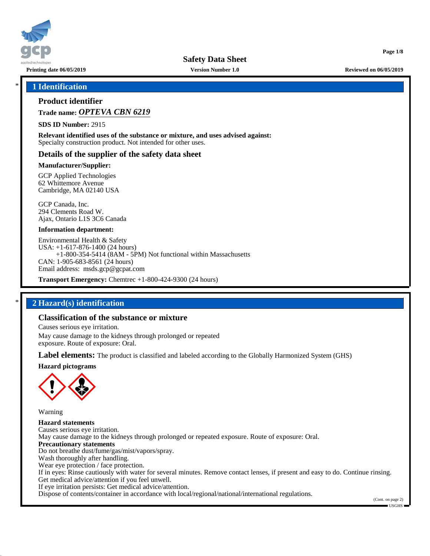

**Printing date 06/05/2019 Version Number 1.0 Reviewed on 06/05/2019**

**Page 1/8**

## \* **1 Identification**

## **Product identifier**

**Trade name:** *OPTEVA CBN 6219*

**SDS ID Number:** 2915

**Relevant identified uses of the substance or mixture, and uses advised against:** Specialty construction product. Not intended for other uses.

## **Details of the supplier of the safety data sheet**

## **Manufacturer/Supplier:**

GCP Applied Technologies 62 Whittemore Avenue Cambridge, MA 02140 USA

GCP Canada, Inc. 294 Clements Road W. Ajax, Ontario L1S 3C6 Canada

#### **Information department:**

Environmental Health & Safety USA: +1-617-876-1400 (24 hours) +1-800-354-5414 (8AM - 5PM) Not functional within Massachusetts CAN: 1-905-683-8561 (24 hours) Email address: msds.gcp@gcpat.com

**Transport Emergency:** Chemtrec +1-800-424-9300 (24 hours)

## \* **2 Hazard(s) identification**

## **Classification of the substance or mixture**

Causes serious eye irritation.

May cause damage to the kidneys through prolonged or repeated exposure. Route of exposure: Oral.

**Label elements:** The product is classified and labeled according to the Globally Harmonized System (GHS)

**Hazard pictograms**



Warning

**Hazard statements** Causes serious eye irritation. May cause damage to the kidneys through prolonged or repeated exposure. Route of exposure: Oral. **Precautionary statements** Do not breathe dust/fume/gas/mist/vapors/spray. Wash thoroughly after handling. Wear eye protection / face protection. If in eyes: Rinse cautiously with water for several minutes. Remove contact lenses, if present and easy to do. Continue rinsing. Get medical advice/attention if you feel unwell. If eye irritation persists: Get medical advice/attention. Dispose of contents/container in accordance with local/regional/national/international regulations.

(Cont. on page 2) USGHS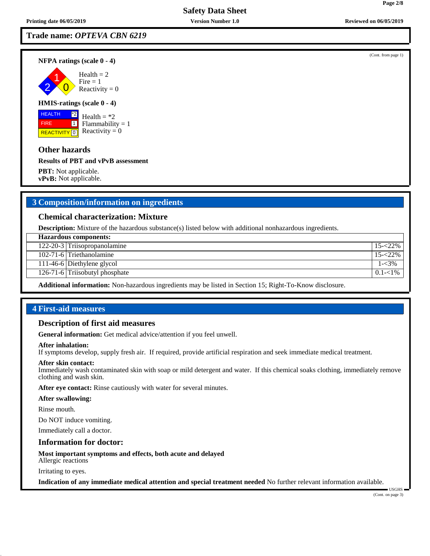**Trade name:** *OPTEVA CBN 6219*

**NFPA ratings (scale 0 - 4)**

2 1  $\overline{0}$  $Health = 2$  $Fire = 1$ Reactivity  $= 0$ 

## **HMIS-ratings (scale 0 - 4)**

 HEALTH FIRE **REACTIVITY** 0  $|z^*2|$  $\boxed{1}$ 

Health  $=$  \*2  $Flammability = 1$ Reactivity  $= 0$ 

## **Other hazards**

**Results of PBT and vPvB assessment**

**PBT:** Not applicable. **vPvB:** Not applicable.

# **3 Composition/information on ingredients**

## **Chemical characterization: Mixture**

**Description:** Mixture of the hazardous substance(s) listed below with additional nonhazardous ingredients.

| <b>Hazardous components:</b> |                                |             |  |
|------------------------------|--------------------------------|-------------|--|
|                              | 122-20-3 Triisopropanolamine   | $15 - 22\%$ |  |
|                              | 102-71-6 Triethanolamine       | $15 - 22\%$ |  |
|                              | 111-46-6 Diethylene glycol     | 1-<3%       |  |
|                              | 126-71-6 Triisobutyl phosphate | $0.1 - 1\%$ |  |
|                              |                                |             |  |

**Additional information:** Non-hazardous ingredients may be listed in Section 15; Right-To-Know disclosure.

## **4 First-aid measures**

## **Description of first aid measures**

**General information:** Get medical advice/attention if you feel unwell.

## **After inhalation:**

If symptoms develop, supply fresh air. If required, provide artificial respiration and seek immediate medical treatment.

#### **After skin contact:**

Immediately wash contaminated skin with soap or mild detergent and water. If this chemical soaks clothing, immediately remove clothing and wash skin.

**After eye contact:** Rinse cautiously with water for several minutes.

#### **After swallowing:**

Rinse mouth.

Do NOT induce vomiting.

Immediately call a doctor.

#### **Information for doctor:**

**Most important symptoms and effects, both acute and delayed** Allergic reactions

Irritating to eyes.

**Indication of any immediate medical attention and special treatment needed** No further relevant information available.

(Cont. from page 1)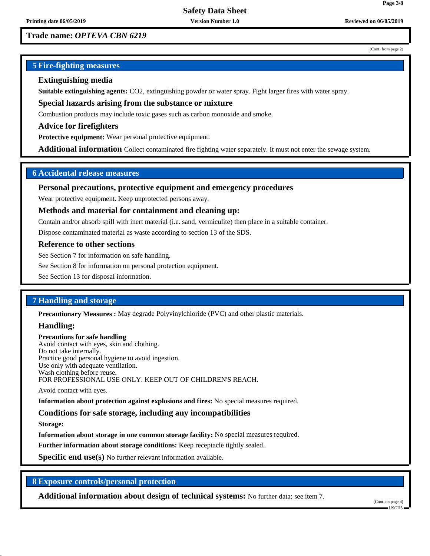# **Trade name:** *OPTEVA CBN 6219*

#### (Cont. from page 2)

**Page 3/8**

# **5 Fire-fighting measures**

## **Extinguishing media**

**Suitable extinguishing agents:** CO2, extinguishing powder or water spray. Fight larger fires with water spray.

**Special hazards arising from the substance or mixture**

Combustion products may include toxic gases such as carbon monoxide and smoke.

**Advice for firefighters**

**Protective equipment:** Wear personal protective equipment.

**Additional information** Collect contaminated fire fighting water separately. It must not enter the sewage system.

## **6 Accidental release measures**

## **Personal precautions, protective equipment and emergency procedures**

Wear protective equipment. Keep unprotected persons away.

## **Methods and material for containment and cleaning up:**

Contain and/or absorb spill with inert material (i.e. sand, vermiculite) then place in a suitable container.

Dispose contaminated material as waste according to section 13 of the SDS.

#### **Reference to other sections**

See Section 7 for information on safe handling.

See Section 8 for information on personal protection equipment.

See Section 13 for disposal information.

## **7 Handling and storage**

**Precautionary Measures :** May degrade Polyvinylchloride (PVC) and other plastic materials.

## **Handling:**

#### **Precautions for safe handling** Avoid contact with eyes, skin and clothing. Do not take internally. Practice good personal hygiene to avoid ingestion. Use only with adequate ventilation. Wash clothing before reuse. FOR PROFESSIONAL USE ONLY. KEEP OUT OF CHILDREN'S REACH.

Avoid contact with eyes.

**Information about protection against explosions and fires:** No special measures required.

## **Conditions for safe storage, including any incompatibilities**

**Storage:**

**Information about storage in one common storage facility:** No special measures required.

**Further information about storage conditions:** Keep receptacle tightly sealed.

**Specific end use(s)** No further relevant information available.

## **8 Exposure controls/personal protection**

**Additional information about design of technical systems:** No further data; see item 7.

(Cont. on page 4)

USGHS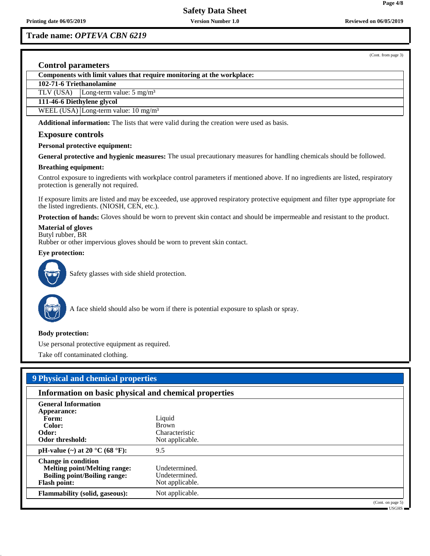**Trade name:** *OPTEVA CBN 6219*

(Cont. from page 3)

**Page 4/8**

## **Control parameters**

**Components with limit values that require monitoring at the workplace:**

**102-71-6 Triethanolamine**

TLV (USA) Long-term value: 5 mg/m<sup>3</sup>

**111-46-6 Diethylene glycol**

WEEL (USA) Long-term value:  $10 \text{ mg/m}^3$ 

**Additional information:** The lists that were valid during the creation were used as basis.

## **Exposure controls**

#### **Personal protective equipment:**

**General protective and hygienic measures:** The usual precautionary measures for handling chemicals should be followed.

#### **Breathing equipment:**

Control exposure to ingredients with workplace control parameters if mentioned above. If no ingredients are listed, respiratory protection is generally not required.

If exposure limits are listed and may be exceeded, use approved respiratory protective equipment and filter type appropriate for the listed ingredients. (NIOSH, CEN, etc.).

**Protection of hands:** Gloves should be worn to prevent skin contact and should be impermeable and resistant to the product.

## **Material of gloves**

Butyl rubber, BR

Rubber or other impervious gloves should be worn to prevent skin contact.

#### **Eye protection:**



Safety glasses with side shield protection.



A face shield should also be worn if there is potential exposure to splash or spray.

#### **Body protection:**

Use personal protective equipment as required.

Take off contaminated clothing.

| 9 Physical and chemical properties                                                                                              |                                                             |  |  |
|---------------------------------------------------------------------------------------------------------------------------------|-------------------------------------------------------------|--|--|
| Information on basic physical and chemical properties                                                                           |                                                             |  |  |
| <b>General Information</b><br>Appearance:<br>Form:<br>Color:<br>Odor:<br>Odor threshold:                                        | Liquid<br><b>Brown</b><br>Characteristic<br>Not applicable. |  |  |
| pH-value $(\sim)$ at 20 °C (68 °F):                                                                                             | 9.5                                                         |  |  |
| <b>Change in condition</b><br><b>Melting point/Melting range:</b><br><b>Boiling point/Boiling range:</b><br><b>Flash point:</b> | Undetermined.<br>Undetermined.<br>Not applicable.           |  |  |
| <b>Flammability (solid, gaseous):</b>                                                                                           | Not applicable.                                             |  |  |
|                                                                                                                                 | (Cont. on page 5)                                           |  |  |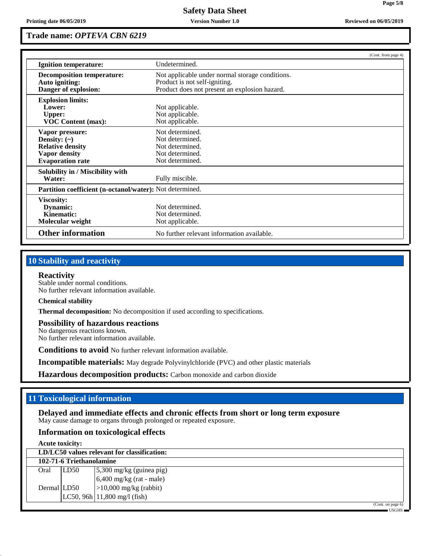**Page 5/8**

# **Trade name:** *OPTEVA CBN 6219*

|                                                                                                                    |                                                                                                                                   | (Cont. from page 4) |
|--------------------------------------------------------------------------------------------------------------------|-----------------------------------------------------------------------------------------------------------------------------------|---------------------|
| Ignition temperature:                                                                                              | Undetermined.                                                                                                                     |                     |
| <b>Decomposition temperature:</b><br>Auto igniting:<br>Danger of explosion:                                        | Not applicable under normal storage conditions.<br>Product is not self-igniting.<br>Product does not present an explosion hazard. |                     |
| <b>Explosion limits:</b><br>Lower:<br><b>Upper:</b><br><b>VOC Content (max):</b>                                   | Not applicable.<br>Not applicable.<br>Not applicable.                                                                             |                     |
| Vapor pressure:<br>Density: $(\sim)$<br><b>Relative density</b><br><b>Vapor density</b><br><b>Evaporation rate</b> | Not determined.<br>Not determined.<br>Not determined.<br>Not determined.<br>Not determined.                                       |                     |
| Solubility in / Miscibility with<br>Water:                                                                         | Fully miscible.                                                                                                                   |                     |
| Partition coefficient (n-octanol/water): Not determined.                                                           |                                                                                                                                   |                     |
| Viscosity:<br>Dynamic:<br>Kinematic:<br>Molecular weight                                                           | Not determined.<br>Not determined.<br>Not applicable.                                                                             |                     |
| <b>Other information</b>                                                                                           | No further relevant information available.                                                                                        |                     |

# **10 Stability and reactivity**

#### **Reactivity**

Stable under normal conditions. No further relevant information available.

## **Chemical stability**

**Thermal decomposition:** No decomposition if used according to specifications.

#### **Possibility of hazardous reactions**

No dangerous reactions known. No further relevant information available.

**Conditions to avoid** No further relevant information available.

**Incompatible materials:** May degrade Polyvinylchloride (PVC) and other plastic materials

**Hazardous decomposition products:** Carbon monoxide and carbon dioxide

## **11 Toxicological information**

**Delayed and immediate effects and chronic effects from short or long term exposure** May cause damage to organs through prolonged or repeated exposure.

# **Information on toxicological effects**

**Acute toxicity:**

| LD/LC50 values relevant for classification: |      |                                              |  |  |
|---------------------------------------------|------|----------------------------------------------|--|--|
| 102-71-6 Triethanolamine                    |      |                                              |  |  |
| Oral                                        | LD50 | $\frac{5,300 \text{ mg/kg}}{3}$ (guinea pig) |  |  |
|                                             |      | $6,400$ mg/kg (rat - male)                   |  |  |
| Dermal LD50                                 |      | $ >10,000$ mg/kg (rabbit)                    |  |  |
|                                             |      | $LC50, 96h$ 11,800 mg/l (fish)               |  |  |
|                                             |      | (Cont. on page 6)                            |  |  |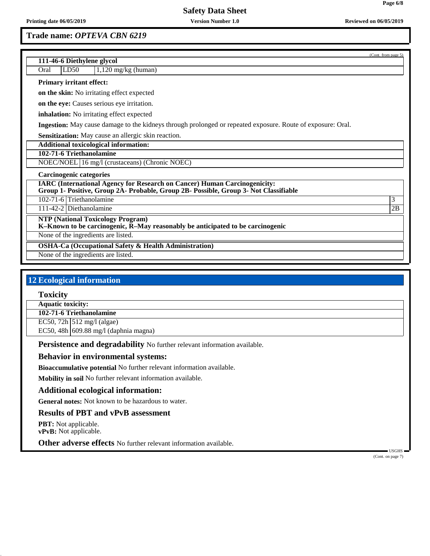**Trade name:** *OPTEVA CBN 6219*

**Page 6/8**

| 111-46-6 Diethylene glycol                                                                                                                                               | (Cont. from page 5) |
|--------------------------------------------------------------------------------------------------------------------------------------------------------------------------|---------------------|
| LD50<br>$1,120$ mg/kg (human)<br>Oral                                                                                                                                    |                     |
| <b>Primary irritant effect:</b>                                                                                                                                          |                     |
| on the skin: No irritating effect expected                                                                                                                               |                     |
| on the eye: Causes serious eye irritation.                                                                                                                               |                     |
| <b>inhalation:</b> No irritating effect expected                                                                                                                         |                     |
| Ingestion: May cause damage to the kidneys through prolonged or repeated exposure. Route of exposure: Oral.                                                              |                     |
| <b>Sensitization:</b> May cause an allergic skin reaction.                                                                                                               |                     |
| <b>Additional toxicological information:</b>                                                                                                                             |                     |
| 102-71-6 Triethanolamine                                                                                                                                                 |                     |
| NOEC/NOEL 16 mg/l (crustaceans) (Chronic NOEC)                                                                                                                           |                     |
| <b>Carcinogenic categories</b>                                                                                                                                           |                     |
| <b>IARC</b> (International Agency for Research on Cancer) Human Carcinogenicity:<br>Group 1- Positive, Group 2A- Probable, Group 2B- Possible, Group 3- Not Classifiable |                     |
| 102-71-6 Triethanolamine                                                                                                                                                 | 3                   |
| 111-42-2 Diethanolamine                                                                                                                                                  | 2B                  |
| <b>NTP (National Toxicology Program)</b><br>K-Known to be carcinogenic, R-May reasonably be anticipated to be carcinogenic                                               |                     |
| None of the ingredients are listed.                                                                                                                                      |                     |
| <b>OSHA-Ca (Occupational Safety &amp; Health Administration)</b>                                                                                                         |                     |
| None of the ingredients are listed.                                                                                                                                      |                     |
|                                                                                                                                                                          |                     |

# **12 Ecological information**

**Toxicity**

**Aquatic toxicity:**

**102-71-6 Triethanolamine**

EC50, 72h 512 mg/l (algae)

EC50, 48h 609.88 mg/l (daphnia magna)

**Persistence and degradability** No further relevant information available.

## **Behavior in environmental systems:**

**Bioaccumulative potential** No further relevant information available.

**Mobility in soil** No further relevant information available.

## **Additional ecological information:**

**General notes:** Not known to be hazardous to water.

## **Results of PBT and vPvB assessment**

**PBT:** Not applicable. **vPvB:** Not applicable.

**Other adverse effects** No further relevant information available.

 USGHS (Cont. on page 7)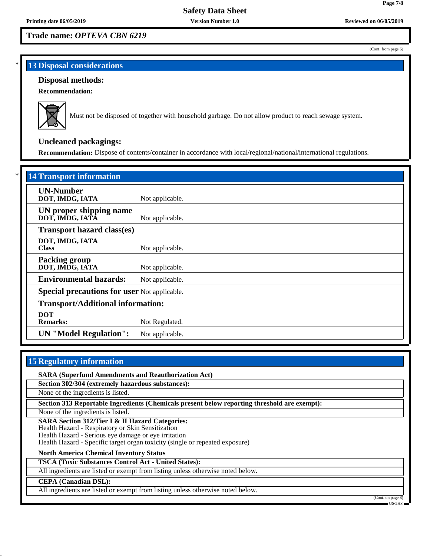# **Trade name:** *OPTEVA CBN 6219*

# **13 Disposal considerations**

## **Disposal methods:**

**Recommendation:**



Must not be disposed of together with household garbage. Do not allow product to reach sewage system.

# **Uncleaned packagings:**

**Recommendation:** Dispose of contents/container in accordance with local/regional/national/international regulations.

| <b>14 Transport information</b>                     |                 |  |
|-----------------------------------------------------|-----------------|--|
| <b>UN-Number</b><br>DOT, IMDG, IATA                 | Not applicable. |  |
| UN proper shipping name<br>DOT, IMDG, IATÂ          | Not applicable. |  |
| <b>Transport hazard class(es)</b>                   |                 |  |
| DOT, IMDG, IATA<br><b>Class</b>                     | Not applicable. |  |
| <b>Packing group</b><br>DOT, IMDG, IATA             | Not applicable. |  |
| <b>Environmental hazards:</b>                       | Not applicable. |  |
| <b>Special precautions for user Not applicable.</b> |                 |  |
| <b>Transport/Additional information:</b>            |                 |  |
| <b>DOT</b><br><b>Remarks:</b>                       | Not Regulated.  |  |
| <b>UN</b> "Model Regulation":                       | Not applicable. |  |

# **15 Regulatory information**

**SARA (Superfund Amendments and Reauthorization Act)**

**Section 302/304 (extremely hazardous substances):**

None of the ingredients is listed.

**Section 313 Reportable Ingredients (Chemicals present below reporting threshold are exempt):**

None of the ingredients is listed.

**SARA Section 312/Tier I & II Hazard Categories:**

Health Hazard - Respiratory or Skin Sensitization

Health Hazard - Serious eye damage or eye irritation

Health Hazard - Specific target organ toxicity (single or repeated exposure)

**North America Chemical Inventory Status**

**TSCA (Toxic Substances Control Act - United States):**

All ingredients are listed or exempt from listing unless otherwise noted below.

#### **CEPA (Canadian DSL):**

All ingredients are listed or exempt from listing unless otherwise noted below.

(Cont. on page 8) USGHS

(Cont. from page 6)

**Page 7/8**